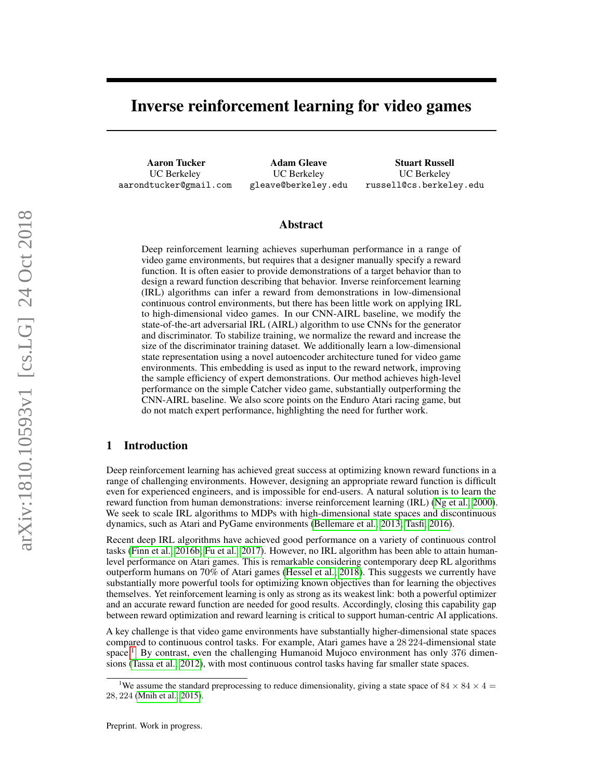# Inverse reinforcement learning for video games

Aaron Tucker UC Berkeley aarondtucker@gmail.com

Adam Gleave UC Berkeley gleave@berkeley.edu

Stuart Russell UC Berkeley russell@cs.berkeley.edu

# Abstract

Deep reinforcement learning achieves superhuman performance in a range of video game environments, but requires that a designer manually specify a reward function. It is often easier to provide demonstrations of a target behavior than to design a reward function describing that behavior. Inverse reinforcement learning (IRL) algorithms can infer a reward from demonstrations in low-dimensional continuous control environments, but there has been little work on applying IRL to high-dimensional video games. In our CNN-AIRL baseline, we modify the state-of-the-art adversarial IRL (AIRL) algorithm to use CNNs for the generator and discriminator. To stabilize training, we normalize the reward and increase the size of the discriminator training dataset. We additionally learn a low-dimensional state representation using a novel autoencoder architecture tuned for video game environments. This embedding is used as input to the reward network, improving the sample efficiency of expert demonstrations. Our method achieves high-level performance on the simple Catcher video game, substantially outperforming the CNN-AIRL baseline. We also score points on the Enduro Atari racing game, but do not match expert performance, highlighting the need for further work.

## 1 Introduction

Deep reinforcement learning has achieved great success at optimizing known reward functions in a range of challenging environments. However, designing an appropriate reward function is difficult even for experienced engineers, and is impossible for end-users. A natural solution is to learn the reward function from human demonstrations: inverse reinforcement learning (IRL) [\(Ng et al., 2000\)](#page-9-0). We seek to scale IRL algorithms to MDPs with high-dimensional state spaces and discontinuous dynamics, such as Atari and PyGame environments [\(Bellemare et al., 2013;](#page-8-0) [Tasfi, 2016\)](#page-9-1).

Recent deep IRL algorithms have achieved good performance on a variety of continuous control tasks [\(Finn et al., 2016b;](#page-8-1) [Fu et al., 2017\)](#page-8-2). However, no IRL algorithm has been able to attain humanlevel performance on Atari games. This is remarkable considering contemporary deep RL algorithms outperform humans on 70% of Atari games [\(Hessel et al., 2018\)](#page-8-3). This suggests we currently have substantially more powerful tools for optimizing known objectives than for learning the objectives themselves. Yet reinforcement learning is only as strong as its weakest link: both a powerful optimizer and an accurate reward function are needed for good results. Accordingly, closing this capability gap between reward optimization and reward learning is critical to support human-centric AI applications.

A key challenge is that video game environments have substantially higher-dimensional state spaces compared to continuous control tasks. For example, Atari games have a 28 224-dimensional state space.<sup>[1](#page-0-0)</sup> By contrast, even the challenging Humanoid Mujoco environment has only 376 dimensions [\(Tassa et al., 2012\)](#page-9-2), with most continuous control tasks having far smaller state spaces.

<span id="page-0-0"></span><sup>&</sup>lt;sup>1</sup>We assume the standard preprocessing to reduce dimensionality, giving a state space of 84  $\times$  84  $\times$  4  $=$ 28, 224 [\(Mnih et al., 2015\)](#page-9-3).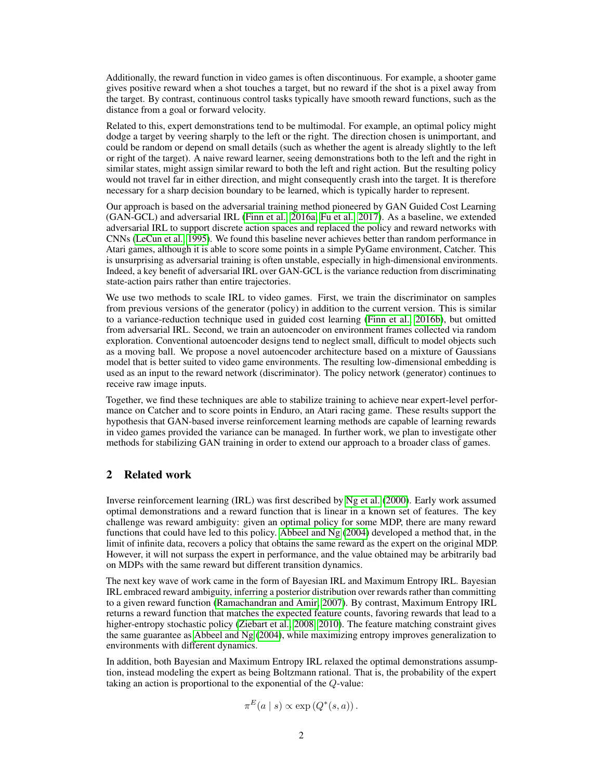Additionally, the reward function in video games is often discontinuous. For example, a shooter game gives positive reward when a shot touches a target, but no reward if the shot is a pixel away from the target. By contrast, continuous control tasks typically have smooth reward functions, such as the distance from a goal or forward velocity.

Related to this, expert demonstrations tend to be multimodal. For example, an optimal policy might dodge a target by veering sharply to the left or the right. The direction chosen is unimportant, and could be random or depend on small details (such as whether the agent is already slightly to the left or right of the target). A naive reward learner, seeing demonstrations both to the left and the right in similar states, might assign similar reward to both the left and right action. But the resulting policy would not travel far in either direction, and might consequently crash into the target. It is therefore necessary for a sharp decision boundary to be learned, which is typically harder to represent.

Our approach is based on the adversarial training method pioneered by GAN Guided Cost Learning (GAN-GCL) and adversarial IRL [\(Finn et al., 2016a;](#page-8-4) [Fu et al., 2017\)](#page-8-2). As a baseline, we extended adversarial IRL to support discrete action spaces and replaced the policy and reward networks with CNNs [\(LeCun et al., 1995\)](#page-9-4). We found this baseline never achieves better than random performance in Atari games, although it is able to score some points in a simple PyGame environment, Catcher. This is unsurprising as adversarial training is often unstable, especially in high-dimensional environments. Indeed, a key benefit of adversarial IRL over GAN-GCL is the variance reduction from discriminating state-action pairs rather than entire trajectories.

We use two methods to scale IRL to video games. First, we train the discriminator on samples from previous versions of the generator (policy) in addition to the current version. This is similar to a variance-reduction technique used in guided cost learning [\(Finn et al., 2016b\)](#page-8-1), but omitted from adversarial IRL. Second, we train an autoencoder on environment frames collected via random exploration. Conventional autoencoder designs tend to neglect small, difficult to model objects such as a moving ball. We propose a novel autoencoder architecture based on a mixture of Gaussians model that is better suited to video game environments. The resulting low-dimensional embedding is used as an input to the reward network (discriminator). The policy network (generator) continues to receive raw image inputs.

Together, we find these techniques are able to stabilize training to achieve near expert-level performance on Catcher and to score points in Enduro, an Atari racing game. These results support the hypothesis that GAN-based inverse reinforcement learning methods are capable of learning rewards in video games provided the variance can be managed. In further work, we plan to investigate other methods for stabilizing GAN training in order to extend our approach to a broader class of games.

# 2 Related work

Inverse reinforcement learning (IRL) was first described by [Ng et al.](#page-9-0) [\(2000\)](#page-9-0). Early work assumed optimal demonstrations and a reward function that is linear in a known set of features. The key challenge was reward ambiguity: given an optimal policy for some MDP, there are many reward functions that could have led to this policy. [Abbeel and Ng](#page-8-5) [\(2004\)](#page-8-5) developed a method that, in the limit of infinite data, recovers a policy that obtains the same reward as the expert on the original MDP. However, it will not surpass the expert in performance, and the value obtained may be arbitrarily bad on MDPs with the same reward but different transition dynamics.

The next key wave of work came in the form of Bayesian IRL and Maximum Entropy IRL. Bayesian IRL embraced reward ambiguity, inferring a posterior distribution over rewards rather than committing to a given reward function [\(Ramachandran and Amir, 2007\)](#page-9-5). By contrast, Maximum Entropy IRL returns a reward function that matches the expected feature counts, favoring rewards that lead to a higher-entropy stochastic policy [\(Ziebart et al., 2008,](#page-9-6) [2010\)](#page-9-7). The feature matching constraint gives the same guarantee as [Abbeel and Ng](#page-8-5)  $(2004)$ , while maximizing entropy improves generalization to environments with different dynamics.

In addition, both Bayesian and Maximum Entropy IRL relaxed the optimal demonstrations assumption, instead modeling the expert as being Boltzmann rational. That is, the probability of the expert taking an action is proportional to the exponential of the Q-value:

$$
\pi^{E}(a \mid s) \propto \exp(Q^*(s, a)).
$$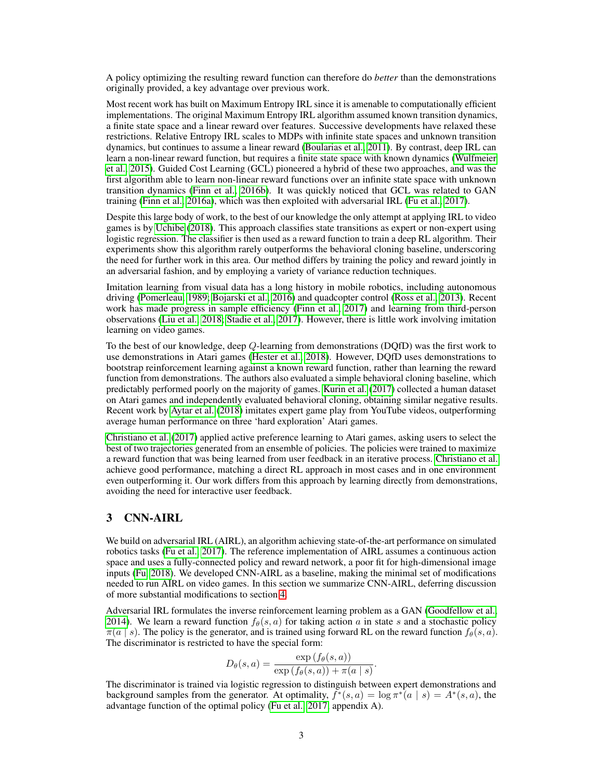A policy optimizing the resulting reward function can therefore do *better* than the demonstrations originally provided, a key advantage over previous work.

Most recent work has built on Maximum Entropy IRL since it is amenable to computationally efficient implementations. The original Maximum Entropy IRL algorithm assumed known transition dynamics, a finite state space and a linear reward over features. Successive developments have relaxed these restrictions. Relative Entropy IRL scales to MDPs with infinite state spaces and unknown transition dynamics, but continues to assume a linear reward [\(Boularias et al., 2011\)](#page-8-6). By contrast, deep IRL can learn a non-linear reward function, but requires a finite state space with known dynamics [\(Wulfmeier](#page-9-8) [et al., 2015\)](#page-9-8). Guided Cost Learning (GCL) pioneered a hybrid of these two approaches, and was the first algorithm able to learn non-linear reward functions over an infinite state space with unknown transition dynamics [\(Finn et al., 2016b\)](#page-8-1). It was quickly noticed that GCL was related to GAN training [\(Finn et al., 2016a\)](#page-8-4), which was then exploited with adversarial IRL [\(Fu et al., 2017\)](#page-8-2).

Despite this large body of work, to the best of our knowledge the only attempt at applying IRL to video games is by [Uchibe](#page-9-9) [\(2018\)](#page-9-9). This approach classifies state transitions as expert or non-expert using logistic regression. The classifier is then used as a reward function to train a deep RL algorithm. Their experiments show this algorithm rarely outperforms the behavioral cloning baseline, underscoring the need for further work in this area. Our method differs by training the policy and reward jointly in an adversarial fashion, and by employing a variety of variance reduction techniques.

Imitation learning from visual data has a long history in mobile robotics, including autonomous driving [\(Pomerleau, 1989;](#page-9-10) [Bojarski et al., 2016\)](#page-8-7) and quadcopter control [\(Ross et al., 2013\)](#page-9-11). Recent work has made progress in sample efficiency [\(Finn et al., 2017\)](#page-8-8) and learning from third-person observations [\(Liu et al., 2018;](#page-9-12) [Stadie et al., 2017\)](#page-9-13). However, there is little work involving imitation learning on video games.

To the best of our knowledge, deep Q-learning from demonstrations (DQfD) was the first work to use demonstrations in Atari games [\(Hester et al., 2018\)](#page-8-9). However, DQfD uses demonstrations to bootstrap reinforcement learning against a known reward function, rather than learning the reward function from demonstrations. The authors also evaluated a simple behavioral cloning baseline, which predictably performed poorly on the majority of games. [Kurin et al.](#page-8-10) [\(2017\)](#page-8-10) collected a human dataset on Atari games and independently evaluated behavioral cloning, obtaining similar negative results. Recent work by [Aytar et al.](#page-8-11) [\(2018\)](#page-8-11) imitates expert game play from YouTube videos, outperforming average human performance on three 'hard exploration' Atari games.

[Christiano et al.](#page-8-12) [\(2017\)](#page-8-12) applied active preference learning to Atari games, asking users to select the best of two trajectories generated from an ensemble of policies. The policies were trained to maximize a reward function that was being learned from user feedback in an iterative process. [Christiano et al.](#page-8-12) achieve good performance, matching a direct RL approach in most cases and in one environment even outperforming it. Our work differs from this approach by learning directly from demonstrations, avoiding the need for interactive user feedback.

## 3 CNN-AIRL

We build on adversarial IRL (AIRL), an algorithm achieving state-of-the-art performance on simulated robotics tasks [\(Fu et al., 2017\)](#page-8-2). The reference implementation of AIRL assumes a continuous action space and uses a fully-connected policy and reward network, a poor fit for high-dimensional image inputs [\(Fu, 2018\)](#page-8-13). We developed CNN-AIRL as a baseline, making the minimal set of modifications needed to run AIRL on video games. In this section we summarize CNN-AIRL, deferring discussion of more substantial modifications to section [4.](#page-3-0)

Adversarial IRL formulates the inverse reinforcement learning problem as a GAN [\(Goodfellow et al.,](#page-8-14) [2014\)](#page-8-14). We learn a reward function  $f_{\theta}(s, a)$  for taking action a in state s and a stochastic policy  $\pi(a \mid s)$ . The policy is the generator, and is trained using forward RL on the reward function  $f_\theta(s, a)$ . The discriminator is restricted to have the special form:

$$
D_{\theta}(s, a) = \frac{\exp(f_{\theta}(s, a))}{\exp(f_{\theta}(s, a)) + \pi(a \mid s)}
$$

.

The discriminator is trained via logistic regression to distinguish between expert demonstrations and background samples from the generator. At optimality,  $f^*(s, a) = \log \pi^*(a | s) = A^*(s, a)$ , the advantage function of the optimal policy [\(Fu et al., 2017,](#page-8-2) appendix A).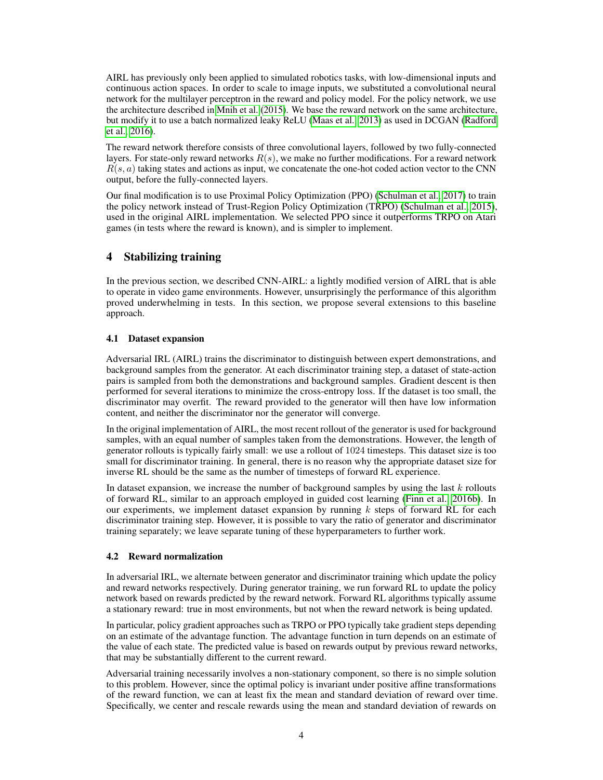AIRL has previously only been applied to simulated robotics tasks, with low-dimensional inputs and continuous action spaces. In order to scale to image inputs, we substituted a convolutional neural network for the multilayer perceptron in the reward and policy model. For the policy network, we use the architecture described in [Mnih et al.](#page-9-3) [\(2015\)](#page-9-3). We base the reward network on the same architecture, but modify it to use a batch normalized leaky ReLU [\(Maas et al., 2013\)](#page-9-14) as used in DCGAN [\(Radford](#page-9-15) [et al., 2016\)](#page-9-15).

The reward network therefore consists of three convolutional layers, followed by two fully-connected layers. For state-only reward networks  $R(s)$ , we make no further modifications. For a reward network  $R(s, a)$  taking states and actions as input, we concatenate the one-hot coded action vector to the CNN output, before the fully-connected layers.

Our final modification is to use Proximal Policy Optimization (PPO) [\(Schulman et al., 2017\)](#page-9-16) to train the policy network instead of Trust-Region Policy Optimization (TRPO) [\(Schulman et al., 2015\)](#page-9-17), used in the original AIRL implementation. We selected PPO since it outperforms TRPO on Atari games (in tests where the reward is known), and is simpler to implement.

# <span id="page-3-0"></span>4 Stabilizing training

In the previous section, we described CNN-AIRL: a lightly modified version of AIRL that is able to operate in video game environments. However, unsurprisingly the performance of this algorithm proved underwhelming in tests. In this section, we propose several extensions to this baseline approach.

## 4.1 Dataset expansion

Adversarial IRL (AIRL) trains the discriminator to distinguish between expert demonstrations, and background samples from the generator. At each discriminator training step, a dataset of state-action pairs is sampled from both the demonstrations and background samples. Gradient descent is then performed for several iterations to minimize the cross-entropy loss. If the dataset is too small, the discriminator may overfit. The reward provided to the generator will then have low information content, and neither the discriminator nor the generator will converge.

In the original implementation of AIRL, the most recent rollout of the generator is used for background samples, with an equal number of samples taken from the demonstrations. However, the length of generator rollouts is typically fairly small: we use a rollout of 1024 timesteps. This dataset size is too small for discriminator training. In general, there is no reason why the appropriate dataset size for inverse RL should be the same as the number of timesteps of forward RL experience.

In dataset expansion, we increase the number of background samples by using the last  $k$  rollouts of forward RL, similar to an approach employed in guided cost learning [\(Finn et al., 2016b\)](#page-8-1). In our experiments, we implement dataset expansion by running  $k$  steps of forward RL for each discriminator training step. However, it is possible to vary the ratio of generator and discriminator training separately; we leave separate tuning of these hyperparameters to further work.

#### 4.2 Reward normalization

In adversarial IRL, we alternate between generator and discriminator training which update the policy and reward networks respectively. During generator training, we run forward RL to update the policy network based on rewards predicted by the reward network. Forward RL algorithms typically assume a stationary reward: true in most environments, but not when the reward network is being updated.

In particular, policy gradient approaches such as TRPO or PPO typically take gradient steps depending on an estimate of the advantage function. The advantage function in turn depends on an estimate of the value of each state. The predicted value is based on rewards output by previous reward networks, that may be substantially different to the current reward.

Adversarial training necessarily involves a non-stationary component, so there is no simple solution to this problem. However, since the optimal policy is invariant under positive affine transformations of the reward function, we can at least fix the mean and standard deviation of reward over time. Specifically, we center and rescale rewards using the mean and standard deviation of rewards on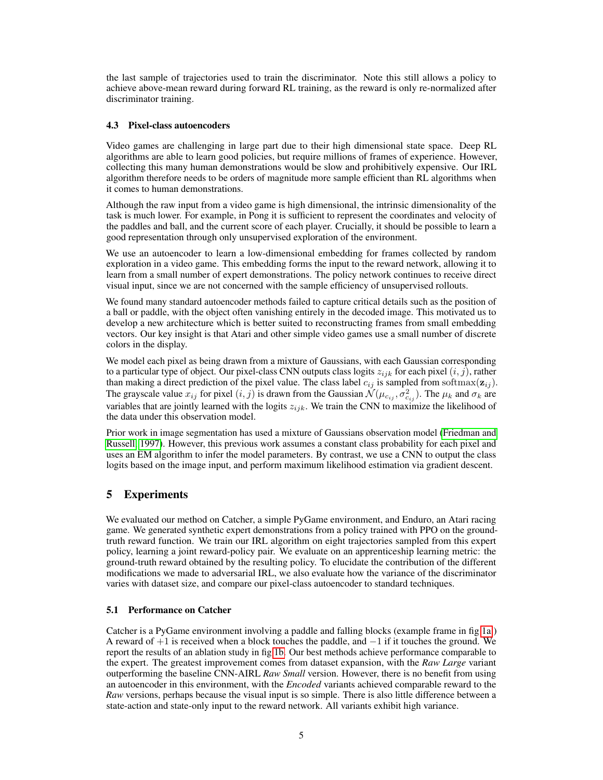the last sample of trajectories used to train the discriminator. Note this still allows a policy to achieve above-mean reward during forward RL training, as the reward is only re-normalized after discriminator training.

#### 4.3 Pixel-class autoencoders

Video games are challenging in large part due to their high dimensional state space. Deep RL algorithms are able to learn good policies, but require millions of frames of experience. However, collecting this many human demonstrations would be slow and prohibitively expensive. Our IRL algorithm therefore needs to be orders of magnitude more sample efficient than RL algorithms when it comes to human demonstrations.

Although the raw input from a video game is high dimensional, the intrinsic dimensionality of the task is much lower. For example, in Pong it is sufficient to represent the coordinates and velocity of the paddles and ball, and the current score of each player. Crucially, it should be possible to learn a good representation through only unsupervised exploration of the environment.

We use an autoencoder to learn a low-dimensional embedding for frames collected by random exploration in a video game. This embedding forms the input to the reward network, allowing it to learn from a small number of expert demonstrations. The policy network continues to receive direct visual input, since we are not concerned with the sample efficiency of unsupervised rollouts.

We found many standard autoencoder methods failed to capture critical details such as the position of a ball or paddle, with the object often vanishing entirely in the decoded image. This motivated us to develop a new architecture which is better suited to reconstructing frames from small embedding vectors. Our key insight is that Atari and other simple video games use a small number of discrete colors in the display.

We model each pixel as being drawn from a mixture of Gaussians, with each Gaussian corresponding to a particular type of object. Our pixel-class CNN outputs class logits  $z_{ijk}$  for each pixel  $(i, j)$ , rather than making a direct prediction of the pixel value. The class label  $c_{ij}$  is sampled from softmax( $\mathbf{z}_{ij}$ ). The grayscale value  $x_{ij}$  for pixel  $(i, j)$  is drawn from the Gaussian  $\mathcal{N}(\mu_{c_{ij}}, \sigma_{c_{ij}}^2)$ . The  $\mu_k$  and  $\sigma_k$  are variables that are jointly learned with the logits  $z_{ijk}$ . We train the CNN to maximize the likelihood of the data under this observation model.

Prior work in image segmentation has used a mixture of Gaussians observation model [\(Friedman and](#page-8-15) [Russell, 1997\)](#page-8-15). However, this previous work assumes a constant class probability for each pixel and uses an EM algorithm to infer the model parameters. By contrast, we use a CNN to output the class logits based on the image input, and perform maximum likelihood estimation via gradient descent.

# 5 Experiments

We evaluated our method on Catcher, a simple PyGame environment, and Enduro, an Atari racing game. We generated synthetic expert demonstrations from a policy trained with PPO on the groundtruth reward function. We train our IRL algorithm on eight trajectories sampled from this expert policy, learning a joint reward-policy pair. We evaluate on an apprenticeship learning metric: the ground-truth reward obtained by the resulting policy. To elucidate the contribution of the different modifications we made to adversarial IRL, we also evaluate how the variance of the discriminator varies with dataset size, and compare our pixel-class autoencoder to standard techniques.

## 5.1 Performance on Catcher

Catcher is a PyGame environment involving a paddle and falling blocks (example frame in fig [1a.](#page-5-0)) A reward of  $+1$  is received when a block touches the paddle, and  $-1$  if it touches the ground. We report the results of an ablation study in fig [1b.](#page-5-0) Our best methods achieve performance comparable to the expert. The greatest improvement comes from dataset expansion, with the *Raw Large* variant outperforming the baseline CNN-AIRL *Raw Small* version. However, there is no benefit from using an autoencoder in this environment, with the *Encoded* variants achieved comparable reward to the *Raw* versions, perhaps because the visual input is so simple. There is also little difference between a state-action and state-only input to the reward network. All variants exhibit high variance.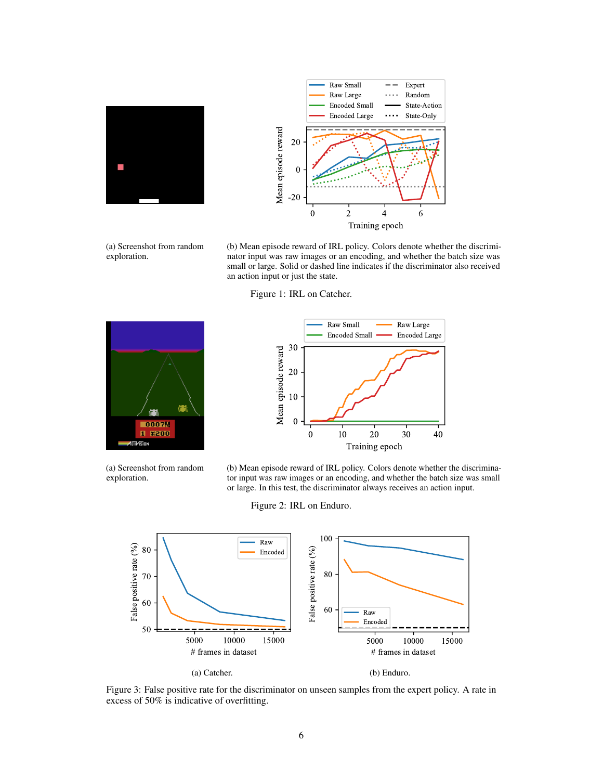<span id="page-5-0"></span>



(a) Screenshot from random exploration.

(b) Mean episode reward of IRL policy. Colors denote whether the discriminator input was raw images or an encoding, and whether the batch size was small or large. Solid or dashed line indicates if the discriminator also received an action input or just the state.

Figure 1: IRL on Catcher.

<span id="page-5-1"></span>

(a) Screenshot from random exploration.



(b) Mean episode reward of IRL policy. Colors denote whether the discriminator input was raw images or an encoding, and whether the batch size was small or large. In this test, the discriminator always receives an action input.

Figure 2: IRL on Enduro.

<span id="page-5-2"></span>

Figure 3: False positive rate for the discriminator on unseen samples from the expert policy. A rate in excess of 50% is indicative of overfitting.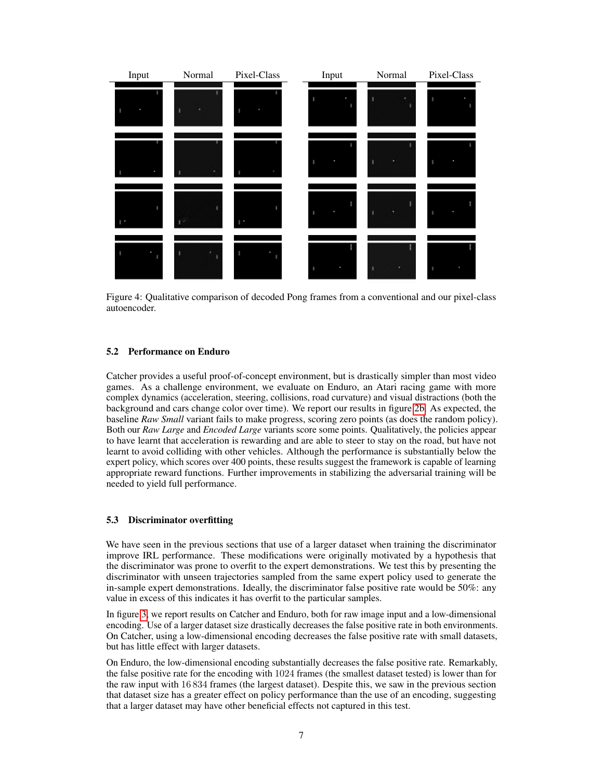<span id="page-6-0"></span>

Figure 4: Qualitative comparison of decoded Pong frames from a conventional and our pixel-class autoencoder.

#### 5.2 Performance on Enduro

Catcher provides a useful proof-of-concept environment, but is drastically simpler than most video games. As a challenge environment, we evaluate on Enduro, an Atari racing game with more complex dynamics (acceleration, steering, collisions, road curvature) and visual distractions (both the background and cars change color over time). We report our results in figure [2b.](#page-5-1) As expected, the baseline *Raw Small* variant fails to make progress, scoring zero points (as does the random policy). Both our *Raw Large* and *Encoded Large* variants score some points. Qualitatively, the policies appear to have learnt that acceleration is rewarding and are able to steer to stay on the road, but have not learnt to avoid colliding with other vehicles. Although the performance is substantially below the expert policy, which scores over 400 points, these results suggest the framework is capable of learning appropriate reward functions. Further improvements in stabilizing the adversarial training will be needed to yield full performance.

#### 5.3 Discriminator overfitting

We have seen in the previous sections that use of a larger dataset when training the discriminator improve IRL performance. These modifications were originally motivated by a hypothesis that the discriminator was prone to overfit to the expert demonstrations. We test this by presenting the discriminator with unseen trajectories sampled from the same expert policy used to generate the in-sample expert demonstrations. Ideally, the discriminator false positive rate would be 50%: any value in excess of this indicates it has overfit to the particular samples.

In figure [3,](#page-5-2) we report results on Catcher and Enduro, both for raw image input and a low-dimensional encoding. Use of a larger dataset size drastically decreases the false positive rate in both environments. On Catcher, using a low-dimensional encoding decreases the false positive rate with small datasets, but has little effect with larger datasets.

On Enduro, the low-dimensional encoding substantially decreases the false positive rate. Remarkably, the false positive rate for the encoding with 1024 frames (the smallest dataset tested) is lower than for the raw input with 16 834 frames (the largest dataset). Despite this, we saw in the previous section that dataset size has a greater effect on policy performance than the use of an encoding, suggesting that a larger dataset may have other beneficial effects not captured in this test.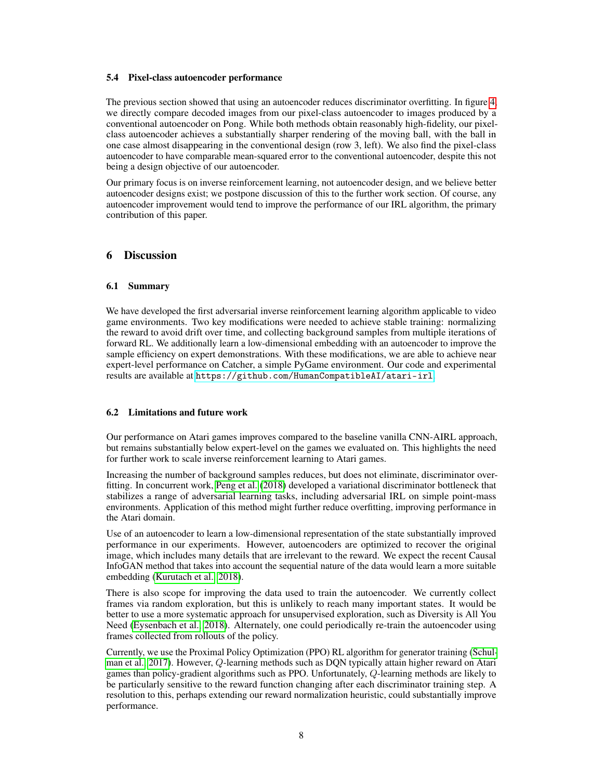#### 5.4 Pixel-class autoencoder performance

The previous section showed that using an autoencoder reduces discriminator overfitting. In figure [4,](#page-6-0) we directly compare decoded images from our pixel-class autoencoder to images produced by a conventional autoencoder on Pong. While both methods obtain reasonably high-fidelity, our pixelclass autoencoder achieves a substantially sharper rendering of the moving ball, with the ball in one case almost disappearing in the conventional design (row 3, left). We also find the pixel-class autoencoder to have comparable mean-squared error to the conventional autoencoder, despite this not being a design objective of our autoencoder.

Our primary focus is on inverse reinforcement learning, not autoencoder design, and we believe better autoencoder designs exist; we postpone discussion of this to the further work section. Of course, any autoencoder improvement would tend to improve the performance of our IRL algorithm, the primary contribution of this paper.

# 6 Discussion

### 6.1 Summary

We have developed the first adversarial inverse reinforcement learning algorithm applicable to video game environments. Two key modifications were needed to achieve stable training: normalizing the reward to avoid drift over time, and collecting background samples from multiple iterations of forward RL. We additionally learn a low-dimensional embedding with an autoencoder to improve the sample efficiency on expert demonstrations. With these modifications, we are able to achieve near expert-level performance on Catcher, a simple PyGame environment. Our code and experimental results are available at <https://github.com/HumanCompatibleAI/atari-irl>.

#### 6.2 Limitations and future work

Our performance on Atari games improves compared to the baseline vanilla CNN-AIRL approach, but remains substantially below expert-level on the games we evaluated on. This highlights the need for further work to scale inverse reinforcement learning to Atari games.

Increasing the number of background samples reduces, but does not eliminate, discriminator overfitting. In concurrent work, [Peng et al.](#page-9-18) [\(2018\)](#page-9-18) developed a variational discriminator bottleneck that stabilizes a range of adversarial learning tasks, including adversarial IRL on simple point-mass environments. Application of this method might further reduce overfitting, improving performance in the Atari domain.

Use of an autoencoder to learn a low-dimensional representation of the state substantially improved performance in our experiments. However, autoencoders are optimized to recover the original image, which includes many details that are irrelevant to the reward. We expect the recent Causal InfoGAN method that takes into account the sequential nature of the data would learn a more suitable embedding [\(Kurutach et al., 2018\)](#page-9-19).

There is also scope for improving the data used to train the autoencoder. We currently collect frames via random exploration, but this is unlikely to reach many important states. It would be better to use a more systematic approach for unsupervised exploration, such as Diversity is All You Need [\(Eysenbach et al., 2018\)](#page-8-16). Alternately, one could periodically re-train the autoencoder using frames collected from rollouts of the policy.

Currently, we use the Proximal Policy Optimization (PPO) RL algorithm for generator training [\(Schul](#page-9-16)[man et al., 2017\)](#page-9-16). However, Q-learning methods such as DQN typically attain higher reward on Atari games than policy-gradient algorithms such as PPO. Unfortunately, Q-learning methods are likely to be particularly sensitive to the reward function changing after each discriminator training step. A resolution to this, perhaps extending our reward normalization heuristic, could substantially improve performance.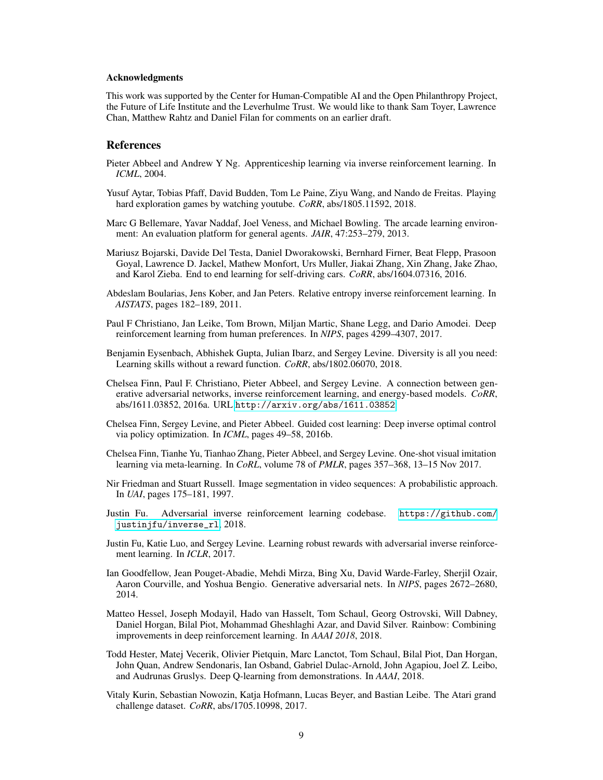#### Acknowledgments

This work was supported by the Center for Human-Compatible AI and the Open Philanthropy Project, the Future of Life Institute and the Leverhulme Trust. We would like to thank Sam Toyer, Lawrence Chan, Matthew Rahtz and Daniel Filan for comments on an earlier draft.

## References

- <span id="page-8-5"></span>Pieter Abbeel and Andrew Y Ng. Apprenticeship learning via inverse reinforcement learning. In *ICML*, 2004.
- <span id="page-8-11"></span>Yusuf Aytar, Tobias Pfaff, David Budden, Tom Le Paine, Ziyu Wang, and Nando de Freitas. Playing hard exploration games by watching youtube. *CoRR*, abs/1805.11592, 2018.
- <span id="page-8-0"></span>Marc G Bellemare, Yavar Naddaf, Joel Veness, and Michael Bowling. The arcade learning environment: An evaluation platform for general agents. *JAIR*, 47:253–279, 2013.
- <span id="page-8-7"></span>Mariusz Bojarski, Davide Del Testa, Daniel Dworakowski, Bernhard Firner, Beat Flepp, Prasoon Goyal, Lawrence D. Jackel, Mathew Monfort, Urs Muller, Jiakai Zhang, Xin Zhang, Jake Zhao, and Karol Zieba. End to end learning for self-driving cars. *CoRR*, abs/1604.07316, 2016.
- <span id="page-8-6"></span>Abdeslam Boularias, Jens Kober, and Jan Peters. Relative entropy inverse reinforcement learning. In *AISTATS*, pages 182–189, 2011.
- <span id="page-8-12"></span>Paul F Christiano, Jan Leike, Tom Brown, Miljan Martic, Shane Legg, and Dario Amodei. Deep reinforcement learning from human preferences. In *NIPS*, pages 4299–4307, 2017.
- <span id="page-8-16"></span>Benjamin Eysenbach, Abhishek Gupta, Julian Ibarz, and Sergey Levine. Diversity is all you need: Learning skills without a reward function. *CoRR*, abs/1802.06070, 2018.
- <span id="page-8-4"></span>Chelsea Finn, Paul F. Christiano, Pieter Abbeel, and Sergey Levine. A connection between generative adversarial networks, inverse reinforcement learning, and energy-based models. *CoRR*, abs/1611.03852, 2016a. URL <http://arxiv.org/abs/1611.03852>.
- <span id="page-8-1"></span>Chelsea Finn, Sergey Levine, and Pieter Abbeel. Guided cost learning: Deep inverse optimal control via policy optimization. In *ICML*, pages 49–58, 2016b.
- <span id="page-8-8"></span>Chelsea Finn, Tianhe Yu, Tianhao Zhang, Pieter Abbeel, and Sergey Levine. One-shot visual imitation learning via meta-learning. In *CoRL*, volume 78 of *PMLR*, pages 357–368, 13–15 Nov 2017.
- <span id="page-8-15"></span>Nir Friedman and Stuart Russell. Image segmentation in video sequences: A probabilistic approach. In *UAI*, pages 175–181, 1997.
- <span id="page-8-13"></span>Justin Fu. Adversarial inverse reinforcement learning codebase. [https://github.com/](https://github.com/justinjfu/inverse_rl) [justinjfu/inverse\\_rl](https://github.com/justinjfu/inverse_rl), 2018.
- <span id="page-8-2"></span>Justin Fu, Katie Luo, and Sergey Levine. Learning robust rewards with adversarial inverse reinforcement learning. In *ICLR*, 2017.
- <span id="page-8-14"></span>Ian Goodfellow, Jean Pouget-Abadie, Mehdi Mirza, Bing Xu, David Warde-Farley, Sherjil Ozair, Aaron Courville, and Yoshua Bengio. Generative adversarial nets. In *NIPS*, pages 2672–2680, 2014.
- <span id="page-8-3"></span>Matteo Hessel, Joseph Modayil, Hado van Hasselt, Tom Schaul, Georg Ostrovski, Will Dabney, Daniel Horgan, Bilal Piot, Mohammad Gheshlaghi Azar, and David Silver. Rainbow: Combining improvements in deep reinforcement learning. In *AAAI 2018*, 2018.
- <span id="page-8-9"></span>Todd Hester, Matej Vecerik, Olivier Pietquin, Marc Lanctot, Tom Schaul, Bilal Piot, Dan Horgan, John Quan, Andrew Sendonaris, Ian Osband, Gabriel Dulac-Arnold, John Agapiou, Joel Z. Leibo, and Audrunas Gruslys. Deep Q-learning from demonstrations. In *AAAI*, 2018.
- <span id="page-8-10"></span>Vitaly Kurin, Sebastian Nowozin, Katja Hofmann, Lucas Beyer, and Bastian Leibe. The Atari grand challenge dataset. *CoRR*, abs/1705.10998, 2017.